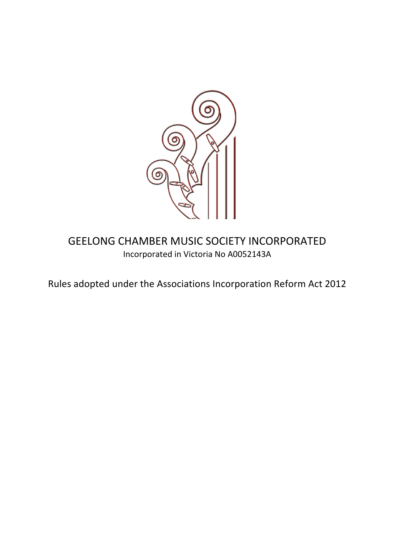

**GEELONG CHAMBER MUSIC SOCIETY INCORPORATED** Incorporated in Victoria No A0052143A

Rules adopted under the Associations Incorporation Reform Act 2012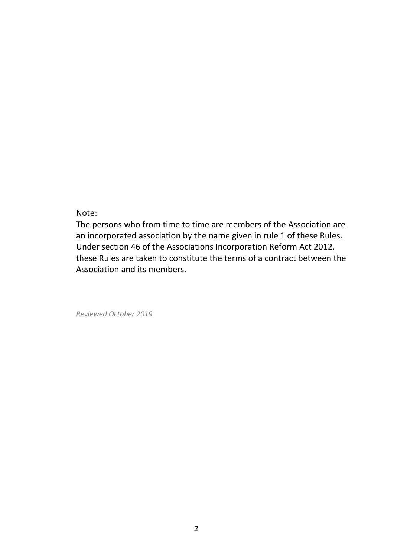Note: 

The persons who from time to time are members of the Association are an incorporated association by the name given in rule 1 of these Rules. Under section 46 of the Associations Incorporation Reform Act 2012, these Rules are taken to constitute the terms of a contract between the Association and its members. 

*Reviewed October 2019*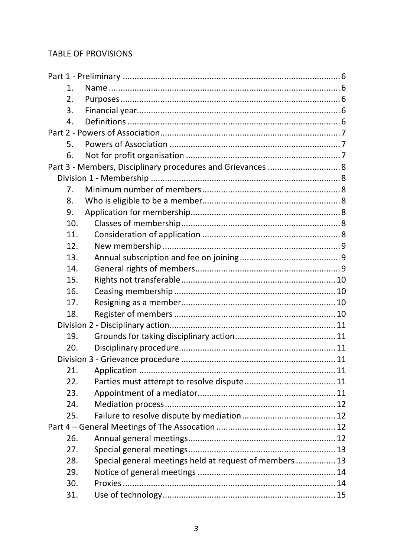### **TABLE OF PROVISIONS**

| 1. |                                                                |  |  |  |  |
|----|----------------------------------------------------------------|--|--|--|--|
| 2. |                                                                |  |  |  |  |
| 3. |                                                                |  |  |  |  |
| 4. |                                                                |  |  |  |  |
|    |                                                                |  |  |  |  |
| 5. |                                                                |  |  |  |  |
| 6. |                                                                |  |  |  |  |
|    | Part 3 - Members, Disciplinary procedures and Grievances  8    |  |  |  |  |
|    |                                                                |  |  |  |  |
| 7. |                                                                |  |  |  |  |
| 8. |                                                                |  |  |  |  |
| 9. |                                                                |  |  |  |  |
|    | 10.                                                            |  |  |  |  |
|    | 11.                                                            |  |  |  |  |
|    | 12.                                                            |  |  |  |  |
|    | 13.                                                            |  |  |  |  |
|    | 14.                                                            |  |  |  |  |
|    | 15.                                                            |  |  |  |  |
|    | 16.                                                            |  |  |  |  |
|    | 17.                                                            |  |  |  |  |
|    | 18.                                                            |  |  |  |  |
|    |                                                                |  |  |  |  |
|    | 19.                                                            |  |  |  |  |
|    | 20.                                                            |  |  |  |  |
|    |                                                                |  |  |  |  |
|    | 21.                                                            |  |  |  |  |
|    | 22.                                                            |  |  |  |  |
|    | 23.                                                            |  |  |  |  |
|    | 24.                                                            |  |  |  |  |
|    | 25.                                                            |  |  |  |  |
|    |                                                                |  |  |  |  |
|    | 26.                                                            |  |  |  |  |
|    | 27.                                                            |  |  |  |  |
|    | Special general meetings held at request of members  13<br>28. |  |  |  |  |
|    | 29.                                                            |  |  |  |  |
|    | 30.                                                            |  |  |  |  |
|    | 31.                                                            |  |  |  |  |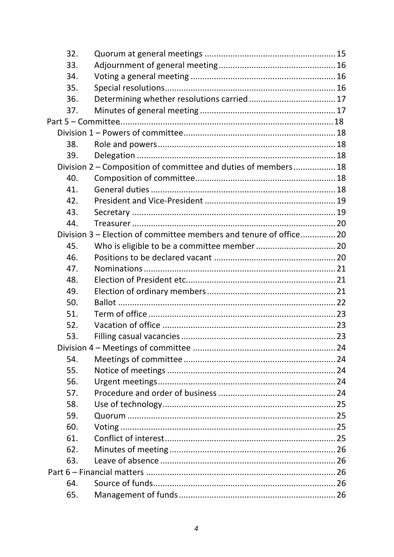| 32.                                                            |                                                                   |  |  |  |  |
|----------------------------------------------------------------|-------------------------------------------------------------------|--|--|--|--|
| 33.                                                            |                                                                   |  |  |  |  |
| 34.                                                            |                                                                   |  |  |  |  |
| 35.                                                            |                                                                   |  |  |  |  |
| 36.                                                            |                                                                   |  |  |  |  |
| 37.                                                            |                                                                   |  |  |  |  |
|                                                                |                                                                   |  |  |  |  |
|                                                                |                                                                   |  |  |  |  |
| 38.                                                            |                                                                   |  |  |  |  |
| 39.                                                            |                                                                   |  |  |  |  |
| Division 2 - Composition of committee and duties of members 18 |                                                                   |  |  |  |  |
| 40.                                                            |                                                                   |  |  |  |  |
| 41.                                                            |                                                                   |  |  |  |  |
| 42.                                                            |                                                                   |  |  |  |  |
| 43.                                                            |                                                                   |  |  |  |  |
| 44.                                                            |                                                                   |  |  |  |  |
|                                                                | Division 3 – Election of committee members and tenure of office20 |  |  |  |  |
| 45.                                                            |                                                                   |  |  |  |  |
| 46.                                                            |                                                                   |  |  |  |  |
| 47.                                                            |                                                                   |  |  |  |  |
| 48.                                                            |                                                                   |  |  |  |  |
| 49.                                                            |                                                                   |  |  |  |  |
| 50.                                                            |                                                                   |  |  |  |  |
| 51.                                                            |                                                                   |  |  |  |  |
| 52.                                                            |                                                                   |  |  |  |  |
| 53.                                                            |                                                                   |  |  |  |  |
|                                                                |                                                                   |  |  |  |  |
| 54.                                                            |                                                                   |  |  |  |  |
| 55.                                                            |                                                                   |  |  |  |  |
| 56.                                                            |                                                                   |  |  |  |  |
| 57.                                                            |                                                                   |  |  |  |  |
| 58.                                                            |                                                                   |  |  |  |  |
| 59.                                                            |                                                                   |  |  |  |  |
| 60.                                                            |                                                                   |  |  |  |  |
| 61.                                                            |                                                                   |  |  |  |  |
| 62.                                                            |                                                                   |  |  |  |  |
| 63.                                                            |                                                                   |  |  |  |  |
|                                                                |                                                                   |  |  |  |  |
| 64.                                                            |                                                                   |  |  |  |  |
| 65.                                                            |                                                                   |  |  |  |  |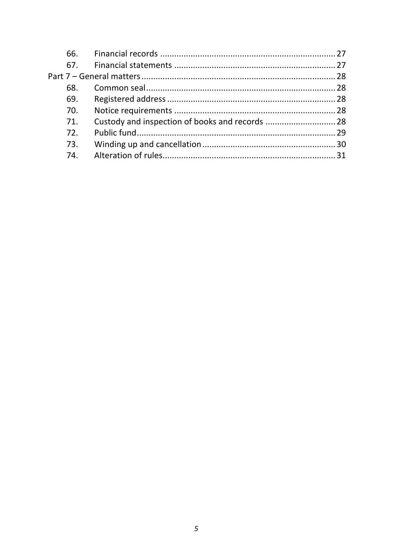| 68. |  |
|-----|--|
| 69. |  |
| 70. |  |
| 71. |  |
| 72. |  |
| 73. |  |
| 74  |  |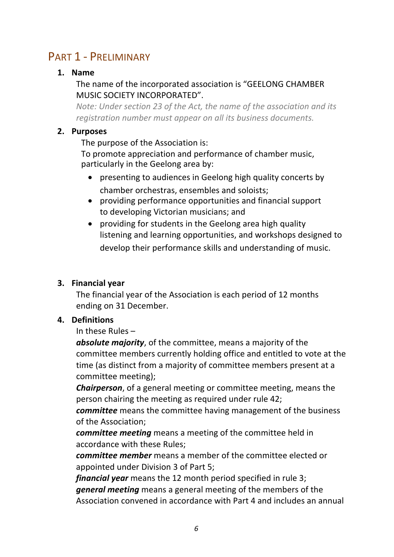# PART 1 - PRELIMINARY

# **1. Name**

# The name of the incorporated association is "GEELONG CHAMBER MUSIC SOCIETY INCORPORATED".

*Note: Under section 23 of the Act, the name of the association and its* registration number must appear on all its business documents.

# **2. Purposes**

The purpose of the Association is:

To promote appreciation and performance of chamber music, particularly in the Geelong area by:

- presenting to audiences in Geelong high quality concerts by chamber orchestras, ensembles and soloists;
- providing performance opportunities and financial support to developing Victorian musicians; and
- providing for students in the Geelong area high quality listening and learning opportunities, and workshops designed to develop their performance skills and understanding of music.

# **3. Financial year**

The financial year of the Association is each period of 12 months ending on 31 December.

# **4. Definitions**

In these Rules  $-$ 

**absolute majority**, of the committee, means a majority of the committee members currently holding office and entitled to vote at the time (as distinct from a majority of committee members present at a committee meeting);

*Chairperson,* of a general meeting or committee meeting, means the person chairing the meeting as required under rule 42;

*committee* means the committee having management of the business of the Association;

*committee meeting* means a meeting of the committee held in accordance with these Rules;

*committee member* means a member of the committee elected or appointed under Division 3 of Part 5:

*financial year* means the 12 month period specified in rule 3; *general meeting* means a general meeting of the members of the Association convened in accordance with Part 4 and includes an annual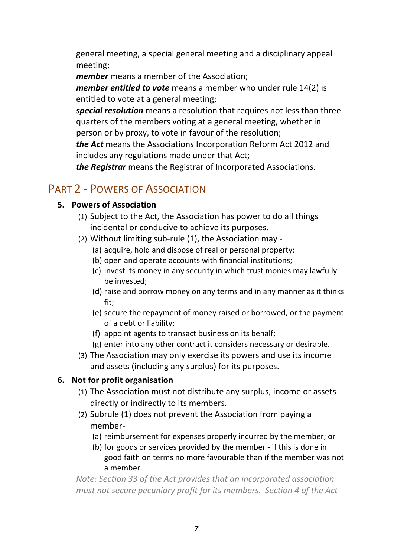general meeting, a special general meeting and a disciplinary appeal meeting;

*member* means a member of the Association;

*member entitled to vote* means a member who under rule 14(2) is entitled to vote at a general meeting;

**special resolution** means a resolution that requires not less than threequarters of the members voting at a general meeting, whether in person or by proxy, to vote in favour of the resolution;

*the Act* means the Associations Incorporation Reform Act 2012 and includes any regulations made under that Act;

*the Registrar* means the Registrar of Incorporated Associations.

# PART 2 - POWERS OF ASSOCIATION

### **5. Powers of Association**

- (1) Subject to the Act, the Association has power to do all things incidental or conducive to achieve its purposes.
- (2) Without limiting sub-rule  $(1)$ , the Association may -
	- (a) acquire, hold and dispose of real or personal property;
	- (b) open and operate accounts with financial institutions;
	- (c) invest its money in any security in which trust monies may lawfully be invested;
	- (d) raise and borrow money on any terms and in any manner as it thinks fit;
	- (e) secure the repayment of money raised or borrowed, or the payment of a debt or liability;
	- (f) appoint agents to transact business on its behalf;
	- $(g)$  enter into any other contract it considers necessary or desirable.
- (3) The Association may only exercise its powers and use its income and assets (including any surplus) for its purposes.

# **6.** Not for profit organisation

- (1) The Association must not distribute any surplus, income or assets directly or indirectly to its members.
- (2) Subrule  $(1)$  does not prevent the Association from paying a member-
	- (a) reimbursement for expenses properly incurred by the member; or
	- (b) for goods or services provided by the member if this is done in good faith on terms no more favourable than if the member was not a member.

*Note: Section 33 of the Act provides that an incorporated association must not secure pecuniary profit for its members. Section 4 of the Act*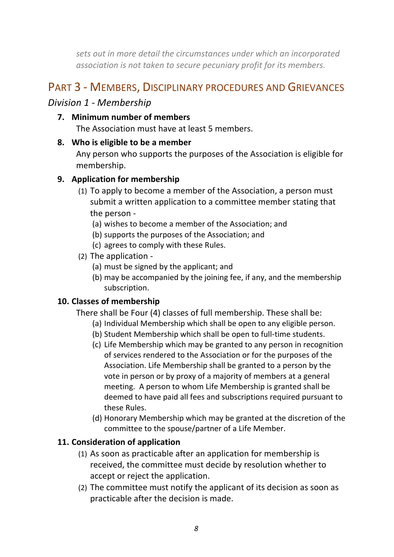sets out in more detail the circumstances under which an incorporated *association is not taken to secure pecuniary profit for its members.* 

# PART 3 - MEMBERS, DISCIPLINARY PROCEDURES AND GRIEVANCES

# *Division 1 - Membership*

**7. Minimum number of members**

The Association must have at least 5 members.

# **8.** Who is eligible to be a member

Any person who supports the purposes of the Association is eligible for membership.

# **9.** Application for membership

- (1) To apply to become a member of the Association, a person must submit a written application to a committee member stating that the person -
	- (a) wishes to become a member of the Association; and
	- (b) supports the purposes of the Association; and
	- (c) agrees to comply with these Rules.
- (2) The application -
	- (a) must be signed by the applicant; and
	- (b) may be accompanied by the joining fee, if any, and the membership subscription.

# 10. Classes of membership

There shall be Four (4) classes of full membership. These shall be:

- (a) Individual Membership which shall be open to any eligible person.
- (b) Student Membership which shall be open to full-time students.
- (c) Life Membership which may be granted to any person in recognition of services rendered to the Association or for the purposes of the Association. Life Membership shall be granted to a person by the vote in person or by proxy of a majority of members at a general meeting. A person to whom Life Membership is granted shall be deemed to have paid all fees and subscriptions required pursuant to these Rules.
- (d) Honorary Membership which may be granted at the discretion of the committee to the spouse/partner of a Life Member.

# **11. Consideration of application**

- (1) As soon as practicable after an application for membership is received, the committee must decide by resolution whether to accept or reject the application.
- (2) The committee must notify the applicant of its decision as soon as practicable after the decision is made.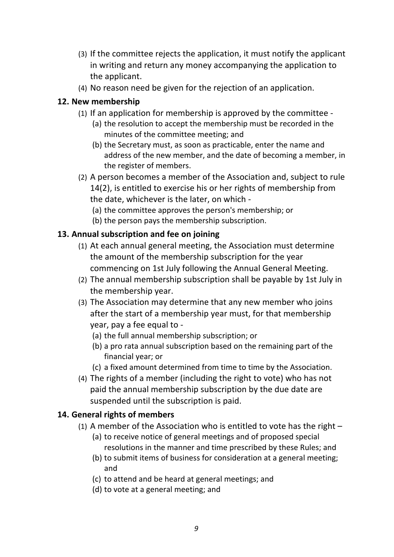- (3) If the committee rejects the application, it must notify the applicant in writing and return any money accompanying the application to the applicant.
- (4) No reason need be given for the rejection of an application.

# **12. New membership**

- (1) If an application for membership is approved by the committee -
	- (a) the resolution to accept the membership must be recorded in the minutes of the committee meeting; and
	- (b) the Secretary must, as soon as practicable, enter the name and address of the new member, and the date of becoming a member, in the register of members.
- (2) A person becomes a member of the Association and, subject to rule 14(2), is entitled to exercise his or her rights of membership from the date, whichever is the later, on which -
	- (a) the committee approves the person's membership; or
	- (b) the person pays the membership subscription.

# **13. Annual subscription and fee on joining**

- (1) At each annual general meeting, the Association must determine the amount of the membership subscription for the year commencing on 1st July following the Annual General Meeting.
- (2) The annual membership subscription shall be payable by 1st July in the membership year.
- (3) The Association may determine that any new member who joins after the start of a membership year must, for that membership year, pay a fee equal to -
	- (a) the full annual membership subscription; or
	- (b) a pro rata annual subscription based on the remaining part of the financial year; or
	- (c) a fixed amount determined from time to time by the Association.
- (4) The rights of a member (including the right to vote) who has not paid the annual membership subscription by the due date are suspended until the subscription is paid.

# 14. General rights of members

- (1) A member of the Association who is entitled to vote has the right  $-$ 
	- (a) to receive notice of general meetings and of proposed special resolutions in the manner and time prescribed by these Rules; and
	- (b) to submit items of business for consideration at a general meeting; and
	- (c) to attend and be heard at general meetings; and
	- (d) to vote at a general meeting; and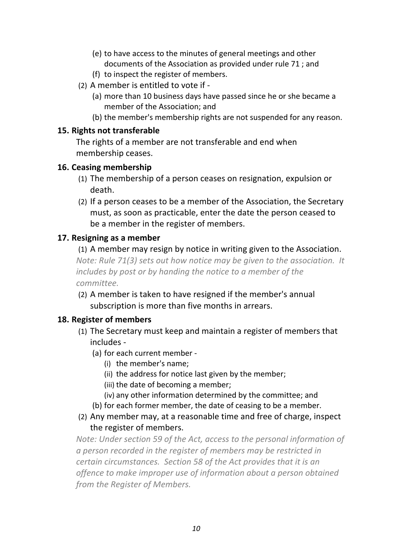- (e) to have access to the minutes of general meetings and other documents of the Association as provided under rule 71 : and
- (f) to inspect the register of members.
- (2) A member is entitled to vote if -
	- (a) more than 10 business days have passed since he or she became a member of the Association; and
	- (b) the member's membership rights are not suspended for any reason.

### **15. Rights not transferable**

The rights of a member are not transferable and end when membership ceases.

# **16. Ceasing membership**

- (1) The membership of a person ceases on resignation, expulsion or death.
- (2) If a person ceases to be a member of the Association, the Secretary must, as soon as practicable, enter the date the person ceased to be a member in the register of members.

# **17. Resigning as a member**

(1) A member may resign by notice in writing given to the Association. *Note: Rule 71(3) sets out how notice may be given to the association. It includes by post or by handing the notice to a member of the committee.*

(2) A member is taken to have resigned if the member's annual subscription is more than five months in arrears.

# 18. Register of members

- (1) The Secretary must keep and maintain a register of members that includes -
	- (a) for each current member -
		- (i) the member's name;
		- (ii) the address for notice last given by the member;
		- (iii) the date of becoming a member;
		- (iv) any other information determined by the committee; and
	- (b) for each former member, the date of ceasing to be a member.
- (2) Any member may, at a reasonable time and free of charge, inspect the register of members.

*Note: Under section 59 of the Act, access to the personal information of* a person recorded in the register of members may be restricted in *certain circumstances.* Section 58 of the Act provides that it is an offence to make *improper use of information* about a person obtained *from the Register of Members.*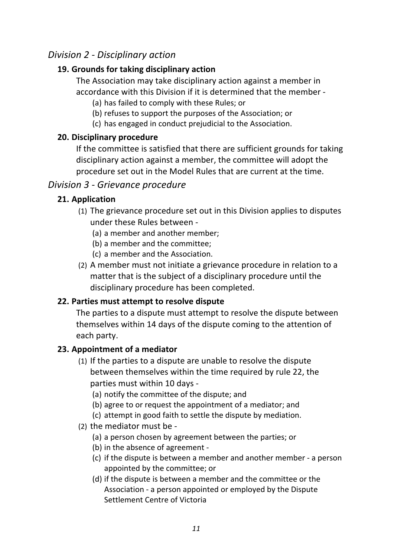# *Division 2 - Disciplinary action*

### **19. Grounds for taking disciplinary action**

The Association may take disciplinary action against a member in accordance with this Division if it is determined that the member -

(a) has failed to comply with these Rules; or

- (b) refuses to support the purposes of the Association; or
- (c) has engaged in conduct prejudicial to the Association.

# **20. Disciplinary procedure**

If the committee is satisfied that there are sufficient grounds for taking disciplinary action against a member, the committee will adopt the procedure set out in the Model Rules that are current at the time.

# *Division 3 - Grievance procedure*

# **21. Application**

- (1) The grievance procedure set out in this Division applies to disputes under these Rules between -
	- (a) a member and another member;
	- (b) a member and the committee;
	- (c) a member and the Association.
- (2) A member must not initiate a grievance procedure in relation to a matter that is the subject of a disciplinary procedure until the disciplinary procedure has been completed.

# **22. Parties must attempt to resolve dispute**

The parties to a dispute must attempt to resolve the dispute between themselves within 14 days of the dispute coming to the attention of each party.

# **23. Appointment of a mediator**

 $(1)$  If the parties to a dispute are unable to resolve the dispute between themselves within the time required by rule 22, the parties must within 10 days -

(a) notify the committee of the dispute; and

- (b) agree to or request the appointment of a mediator; and
- (c) attempt in good faith to settle the dispute by mediation.
- (2) the mediator must be -
	- (a) a person chosen by agreement between the parties; or
	- (b) in the absence of agreement -
	- (c) if the dispute is between a member and another member a person appointed by the committee; or
	- (d) if the dispute is between a member and the committee or the Association - a person appointed or employed by the Dispute Settlement Centre of Victoria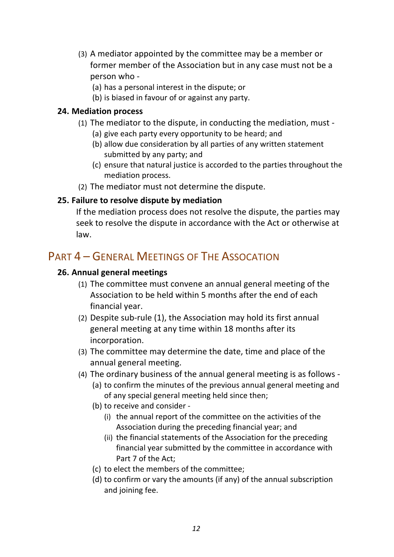- (3) A mediator appointed by the committee may be a member or former member of the Association but in any case must not be a person who -
	- (a) has a personal interest in the dispute; or
	- (b) is biased in favour of or against any party.

#### **24. Mediation process**

- (1) The mediator to the dispute, in conducting the mediation, must -
	- (a) give each party every opportunity to be heard; and
	- (b) allow due consideration by all parties of any written statement submitted by any party; and
	- (c) ensure that natural justice is accorded to the parties throughout the mediation process.
- (2) The mediator must not determine the dispute.

### **25.** Failure to resolve dispute by mediation

If the mediation process does not resolve the dispute, the parties may seek to resolve the dispute in accordance with the Act or otherwise at law.

# PART 4 – GENERAL MEETINGS OF THE ASSOCATION

### **26. Annual general meetings**

- (1) The committee must convene an annual general meeting of the Association to be held within 5 months after the end of each financial year.
- (2) Despite sub-rule  $(1)$ , the Association may hold its first annual general meeting at any time within 18 months after its incorporation.
- (3) The committee may determine the date, time and place of the annual general meeting.
- (4) The ordinary business of the annual general meeting is as follows -
	- (a) to confirm the minutes of the previous annual general meeting and of any special general meeting held since then;
	- (b) to receive and consider -
		- (i) the annual report of the committee on the activities of the Association during the preceding financial year; and
		- (ii) the financial statements of the Association for the preceding financial year submitted by the committee in accordance with Part 7 of the Act:
	- (c) to elect the members of the committee:
	- (d) to confirm or vary the amounts (if any) of the annual subscription and joining fee.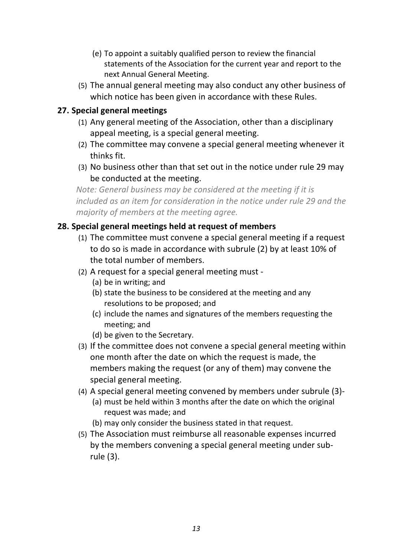- (e) To appoint a suitably qualified person to review the financial statements of the Association for the current year and report to the next Annual General Meeting.
- (5) The annual general meeting may also conduct any other business of which notice has been given in accordance with these Rules.

### **27. Special general meetings**

- (1) Any general meeting of the Association, other than a disciplinary appeal meeting, is a special general meeting.
- (2) The committee may convene a special general meeting whenever it thinks fit.
- (3) No business other than that set out in the notice under rule 29 may be conducted at the meeting.

*Note:* General business may be considered at the meeting if it is *included* as an item for consideration in the notice under rule 29 and the *majority* of members at the meeting agree.

### **28. Special general meetings held at request of members**

- (1) The committee must convene a special general meeting if a request to do so is made in accordance with subrule (2) by at least 10% of the total number of members.
- (2) A request for a special general meeting must -
	- (a) be in writing; and
	- (b) state the business to be considered at the meeting and any resolutions to be proposed; and
	- (c) include the names and signatures of the members requesting the meeting; and
	- (d) be given to the Secretary.
- (3) If the committee does not convene a special general meeting within one month after the date on which the request is made, the members making the request (or any of them) may convene the special general meeting.
- (4) A special general meeting convened by members under subrule (3)-(a) must be held within 3 months after the date on which the original request was made; and
	- (b) may only consider the business stated in that request.
- (5) The Association must reimburse all reasonable expenses incurred by the members convening a special general meeting under subrule (3).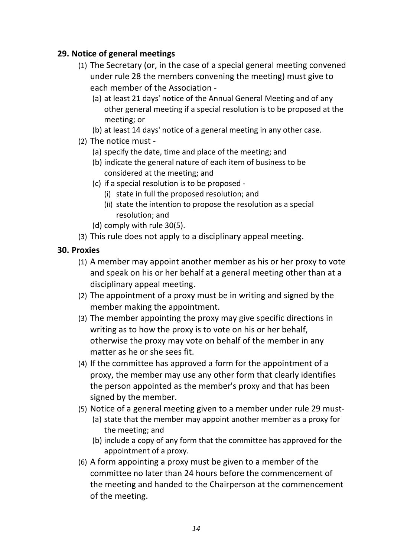### **29. Notice of general meetings**

- (1) The Secretary (or, in the case of a special general meeting convened under rule 28 the members convening the meeting) must give to each member of the Association -
	- (a) at least 21 days' notice of the Annual General Meeting and of any other general meeting if a special resolution is to be proposed at the meeting; or
	- (b) at least 14 days' notice of a general meeting in any other case.
- (2) The notice must -
	- (a) specify the date, time and place of the meeting; and
	- (b) indicate the general nature of each item of business to be considered at the meeting; and
	- (c) if a special resolution is to be proposed -
		- (i) state in full the proposed resolution; and
		- (ii) state the intention to propose the resolution as a special resolution; and
	- (d) comply with rule 30(5).
- (3) This rule does not apply to a disciplinary appeal meeting.

### **30. Proxies**

- (1) A member may appoint another member as his or her proxy to vote and speak on his or her behalf at a general meeting other than at a disciplinary appeal meeting.
- (2) The appointment of a proxy must be in writing and signed by the member making the appointment.
- (3) The member appointing the proxy may give specific directions in writing as to how the proxy is to vote on his or her behalf, otherwise the proxy may vote on behalf of the member in any matter as he or she sees fit.
- $(4)$  If the committee has approved a form for the appointment of a proxy, the member may use any other form that clearly identifies the person appointed as the member's proxy and that has been signed by the member.
- (5) Notice of a general meeting given to a member under rule 29 must-
	- (a) state that the member may appoint another member as a proxy for the meeting; and
	- (b) include a copy of any form that the committee has approved for the appointment of a proxy.
- (6) A form appointing a proxy must be given to a member of the committee no later than 24 hours before the commencement of the meeting and handed to the Chairperson at the commencement of the meeting.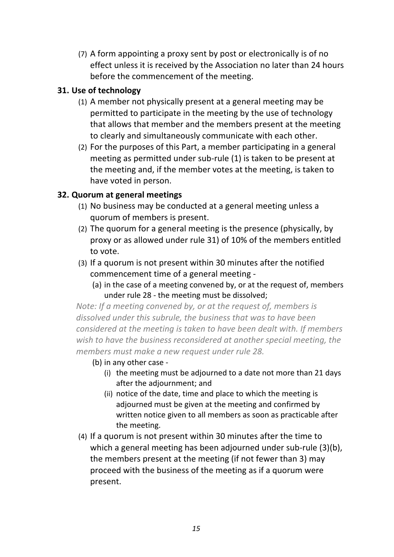(7) A form appointing a proxy sent by post or electronically is of no effect unless it is received by the Association no later than 24 hours before the commencement of the meeting.

### **31. Use of technology**

- (1) A member not physically present at a general meeting may be permitted to participate in the meeting by the use of technology that allows that member and the members present at the meeting to clearly and simultaneously communicate with each other.
- (2) For the purposes of this Part, a member participating in a general meeting as permitted under sub-rule  $(1)$  is taken to be present at the meeting and, if the member votes at the meeting, is taken to have voted in person.

# **32. Quorum at general meetings**

- (1) No business may be conducted at a general meeting unless a quorum of members is present.
- (2) The quorum for a general meeting is the presence (physically, by proxy or as allowed under rule 31) of 10% of the members entitled to vote.
- (3) If a quorum is not present within 30 minutes after the notified commencement time of a general meeting -
	- (a) in the case of a meeting convened by, or at the request of, members under rule 28 - the meeting must be dissolved;

*Note: If a meeting convened by, or at the request of, members is* dissolved under this subrule, the business that was to have been *considered at the meeting is taken to have been dealt with. If members* wish to have the business reconsidered at another special meeting, the members must make a new request under rule 28.

(b) in any other case -

- (i) the meeting must be adiourned to a date not more than 21 days after the adiournment: and
- (ii) notice of the date, time and place to which the meeting is adjourned must be given at the meeting and confirmed by written notice given to all members as soon as practicable after the meeting.
- $(4)$  If a quorum is not present within 30 minutes after the time to which a general meeting has been adjourned under sub-rule  $(3)(b)$ , the members present at the meeting (if not fewer than 3) may proceed with the business of the meeting as if a quorum were present.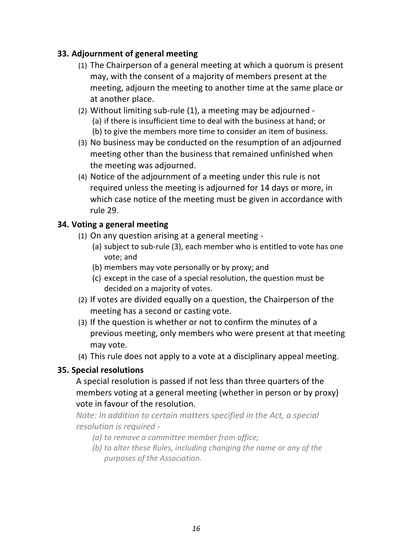### **33. Adjournment of general meeting**

- (1) The Chairperson of a general meeting at which a quorum is present may, with the consent of a majority of members present at the meeting, adjourn the meeting to another time at the same place or at another place.
- (2) Without limiting sub-rule  $(1)$ , a meeting may be adjourned -(a) if there is insufficient time to deal with the business at hand; or (b) to give the members more time to consider an item of business.
- (3) No business may be conducted on the resumption of an adjourned meeting other than the business that remained unfinished when the meeting was adjourned.
- (4) Notice of the adjournment of a meeting under this rule is not required unless the meeting is adjourned for 14 days or more, in which case notice of the meeting must be given in accordance with rule 29.

### **34. Voting a general meeting**

- (1) On any question arising at a general meeting -
	- (a) subject to sub-rule (3), each member who is entitled to vote has one vote; and
	- (b) members may vote personally or by proxy; and
	- (c) except in the case of a special resolution, the question must be decided on a majority of votes.
- (2) If votes are divided equally on a question, the Chairperson of the meeting has a second or casting vote.
- (3) If the question is whether or not to confirm the minutes of a previous meeting, only members who were present at that meeting may vote.
- (4) This rule does not apply to a vote at a disciplinary appeal meeting.

### **35. Special resolutions**

A special resolution is passed if not less than three quarters of the members voting at a general meeting (whether in person or by proxy) vote in favour of the resolution.

*Note: In addition to certain matters specified in the Act, a special resolution is required -*

- *(a)* to remove a committee member from office;
- *(b)* to alter these Rules, including changing the name or any of the *purposes of the Association.*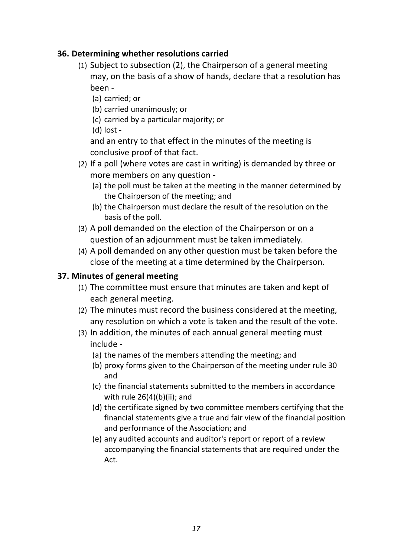### **36. Determining whether resolutions carried**

- (1) Subject to subsection  $(2)$ , the Chairperson of a general meeting may, on the basis of a show of hands, declare that a resolution has been -
	- (a) carried: or
	- (b) carried unanimously; or
	- (c) carried by a particular majority; or
	- $(d)$  lost -

and an entry to that effect in the minutes of the meeting is conclusive proof of that fact.

- (2) If a poll (where votes are cast in writing) is demanded by three or more members on any question -
	- (a) the poll must be taken at the meeting in the manner determined by the Chairperson of the meeting; and
	- (b) the Chairperson must declare the result of the resolution on the basis of the poll.
- (3) A poll demanded on the election of the Chairperson or on a question of an adjournment must be taken immediately.
- (4) A poll demanded on any other question must be taken before the close of the meeting at a time determined by the Chairperson.

# **37. Minutes of general meeting**

- (1) The committee must ensure that minutes are taken and kept of each general meeting.
- (2) The minutes must record the business considered at the meeting, any resolution on which a vote is taken and the result of the vote.
- (3) In addition, the minutes of each annual general meeting must include -
	- (a) the names of the members attending the meeting; and
	- (b) proxy forms given to the Chairperson of the meeting under rule 30 and
	- (c) the financial statements submitted to the members in accordance with rule  $26(4)(b)(ii)$ ; and
	- (d) the certificate signed by two committee members certifying that the financial statements give a true and fair view of the financial position and performance of the Association; and
	- (e) any audited accounts and auditor's report or report of a review accompanying the financial statements that are required under the Act.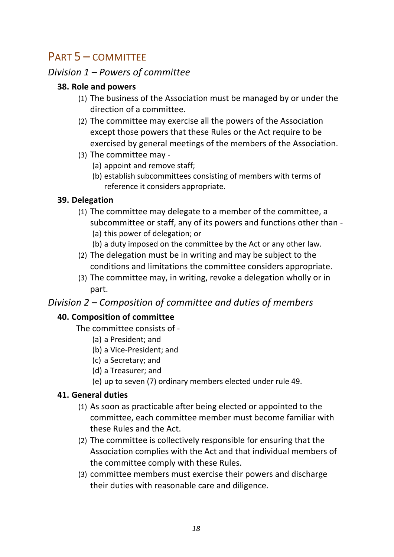# PART 5 – COMMITTEE

# *Division 1 – Powers of committee*

### **38. Role and powers**

- (1) The business of the Association must be managed by or under the direction of a committee.
- (2) The committee may exercise all the powers of the Association except those powers that these Rules or the Act require to be exercised by general meetings of the members of the Association.
- (3) The committee may -
	- (a) appoint and remove staff;
	- (b) establish subcommittees consisting of members with terms of reference it considers appropriate.

# **39. Delegation**

- (1) The committee may delegate to a member of the committee, a subcommittee or staff, any of its powers and functions other than -(a) this power of delegation; or
	- (b) a duty imposed on the committee by the Act or any other law.
- (2) The delegation must be in writing and may be subject to the conditions and limitations the committee considers appropriate.
- (3) The committee may, in writing, revoke a delegation wholly or in part.

# *Division 2 – Composition of committee and duties of members*

# **40. Composition of committee**

The committee consists of -

- (a) a President; and
- (b) a Vice-President; and
- (c) a Secretary; and
- (d) a Treasurer; and
- (e) up to seven (7) ordinary members elected under rule 49.

# **41. General duties**

- (1) As soon as practicable after being elected or appointed to the committee, each committee member must become familiar with these Rules and the Act.
- (2) The committee is collectively responsible for ensuring that the Association complies with the Act and that individual members of the committee comply with these Rules.
- (3) committee members must exercise their powers and discharge their duties with reasonable care and diligence.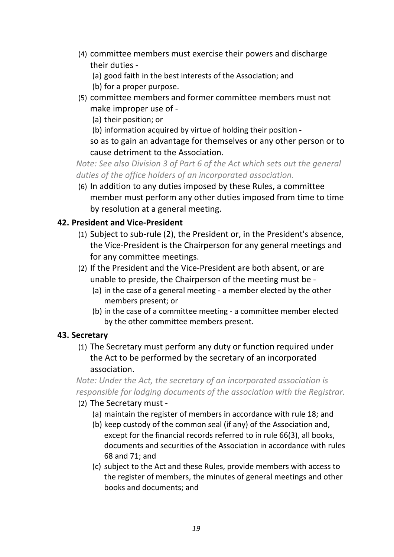- (4) committee members must exercise their powers and discharge their duties -
	- (a) good faith in the best interests of the Association; and
	- (b) for a proper purpose.
- (5) committee members and former committee members must not make improper use of -

(a) their position; or

(b) information acquired by virtue of holding their position -

so as to gain an advantage for themselves or any other person or to cause detriment to the Association.

*Note:* See also Division 3 of Part 6 of the Act which sets out the general duties of the office holders of an incorporated association.

(6) In addition to any duties imposed by these Rules, a committee member must perform any other duties imposed from time to time by resolution at a general meeting.

### **42. President and Vice-President**

- (1) Subject to sub-rule (2), the President or, in the President's absence, the Vice-President is the Chairperson for any general meetings and for any committee meetings.
- (2) If the President and the Vice-President are both absent, or are unable to preside, the Chairperson of the meeting must be -
	- (a) in the case of a general meeting a member elected by the other members present; or
	- (b) in the case of a committee meeting a committee member elected by the other committee members present.

### **43. Secretary**

(1) The Secretary must perform any duty or function required under the Act to be performed by the secretary of an incorporated association.

*Note: Under the Act, the secretary of an incorporated association is responsible for lodging documents of the association with the Registrar.* 

- (2) The Secretary must -
	- (a) maintain the register of members in accordance with rule 18; and
	- (b) keep custody of the common seal (if any) of the Association and, except for the financial records referred to in rule 66(3), all books, documents and securities of the Association in accordance with rules 68 and 71; and
	- (c) subject to the Act and these Rules, provide members with access to the register of members, the minutes of general meetings and other books and documents; and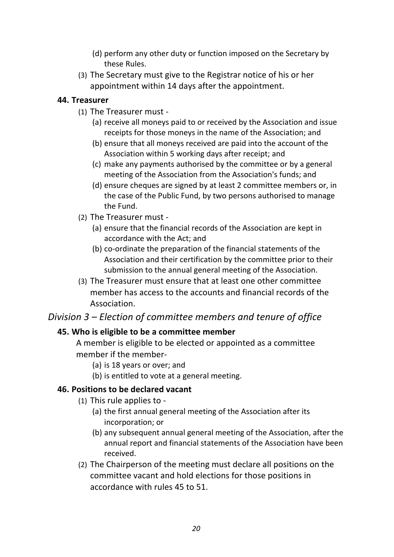- (d) perform any other duty or function imposed on the Secretary by these Rules.
- (3) The Secretary must give to the Registrar notice of his or her appointment within 14 days after the appointment.

#### **44. Treasurer**

- (1) The Treasurer must -
	- (a) receive all moneys paid to or received by the Association and issue receipts for those moneys in the name of the Association; and
	- (b) ensure that all moneys received are paid into the account of the Association within 5 working days after receipt; and
	- (c) make any payments authorised by the committee or by a general meeting of the Association from the Association's funds; and
	- (d) ensure cheques are signed by at least 2 committee members or, in the case of the Public Fund, by two persons authorised to manage the Fund.
- (2) The Treasurer must -
	- (a) ensure that the financial records of the Association are kept in accordance with the Act: and
	- (b) co-ordinate the preparation of the financial statements of the Association and their certification by the committee prior to their submission to the annual general meeting of the Association.
- (3) The Treasurer must ensure that at least one other committee member has access to the accounts and financial records of the Association.

# *Division 3 – Election of committee members and tenure of office*

### **45. Who is eligible to be a committee member**

A member is eligible to be elected or appointed as a committee member if the member-

- (a) is 18 years or over; and
- (b) is entitled to vote at a general meeting.

### **46. Positions to be declared vacant**

- $(1)$  This rule applies to -
	- (a) the first annual general meeting of the Association after its incorporation; or
	- (b) any subsequent annual general meeting of the Association, after the annual report and financial statements of the Association have been received.
- (2) The Chairperson of the meeting must declare all positions on the committee vacant and hold elections for those positions in accordance with rules 45 to 51.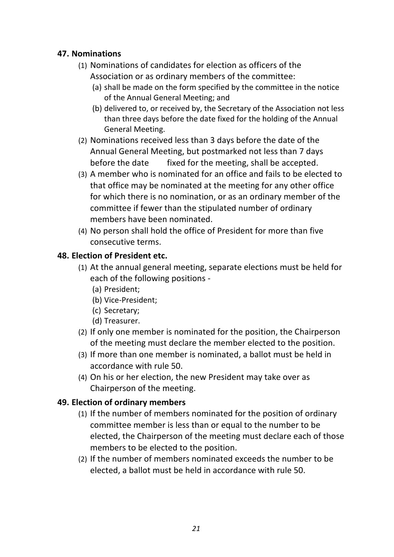### **47. Nominations**

- (1) Nominations of candidates for election as officers of the Association or as ordinary members of the committee:
	- (a) shall be made on the form specified by the committee in the notice of the Annual General Meeting; and
	- (b) delivered to, or received by, the Secretary of the Association not less than three days before the date fixed for the holding of the Annual General Meeting.
- (2) Nominations received less than 3 days before the date of the Annual General Meeting, but postmarked not less than 7 days before the date fixed for the meeting, shall be accepted.
- (3) A member who is nominated for an office and fails to be elected to that office may be nominated at the meeting for any other office for which there is no nomination, or as an ordinary member of the committee if fewer than the stipulated number of ordinary members have been nominated.
- (4) No person shall hold the office of President for more than five consecutive terms.

### **48. Election of President etc.**

- (1) At the annual general meeting, separate elections must be held for each of the following positions -
	- (a) President;
	- (b) Vice-President;
	- (c) Secretary;
	- (d) Treasurer.
- (2) If only one member is nominated for the position, the Chairperson of the meeting must declare the member elected to the position.
- (3) If more than one member is nominated, a ballot must be held in accordance with rule 50.
- (4) On his or her election, the new President may take over as Chairperson of the meeting.

# **49. Election of ordinary members**

- (1) If the number of members nominated for the position of ordinary committee member is less than or equal to the number to be elected, the Chairperson of the meeting must declare each of those members to be elected to the position.
- (2) If the number of members nominated exceeds the number to be elected, a ballot must be held in accordance with rule 50.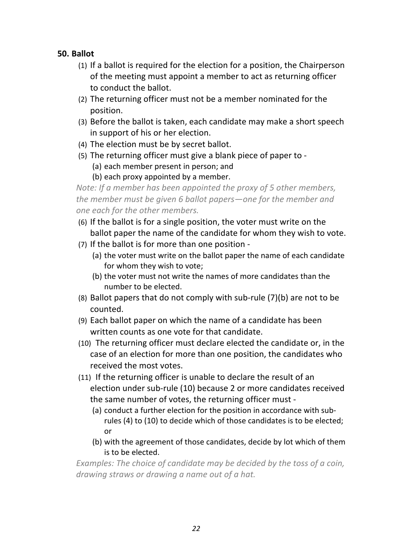### **50. Ballot**

- (1) If a ballot is required for the election for a position, the Chairperson of the meeting must appoint a member to act as returning officer to conduct the ballot.
- (2) The returning officer must not be a member nominated for the position.
- (3) Before the ballot is taken, each candidate may make a short speech in support of his or her election.
- (4) The election must be by secret ballot.
- (5) The returning officer must give a blank piece of paper to -
	- (a) each member present in person; and
	- (b) each proxy appointed by a member.

*Note: If a member has been appointed the proxy of 5 other members, the member must be given 6 ballot papers—one for the member and one each for the other members.*

- (6) If the ballot is for a single position, the voter must write on the ballot paper the name of the candidate for whom they wish to vote.
- (7) If the ballot is for more than one position -
	- (a) the voter must write on the ballot paper the name of each candidate for whom they wish to vote:
	- (b) the voter must not write the names of more candidates than the number to be elected.
- (8) Ballot papers that do not comply with sub-rule  $(7)(b)$  are not to be counted.
- (9) Each ballot paper on which the name of a candidate has been written counts as one vote for that candidate.
- (10) The returning officer must declare elected the candidate or, in the case of an election for more than one position, the candidates who received the most votes.
- $(11)$  If the returning officer is unable to declare the result of an election under sub-rule (10) because 2 or more candidates received the same number of votes, the returning officer must -
	- (a) conduct a further election for the position in accordance with subrules (4) to (10) to decide which of those candidates is to be elected; or
	- (b) with the agreement of those candidates, decide by lot which of them is to be elected.

*Examples:* The choice of candidate may be decided by the toss of a coin, drawing straws or drawing a name out of a hat.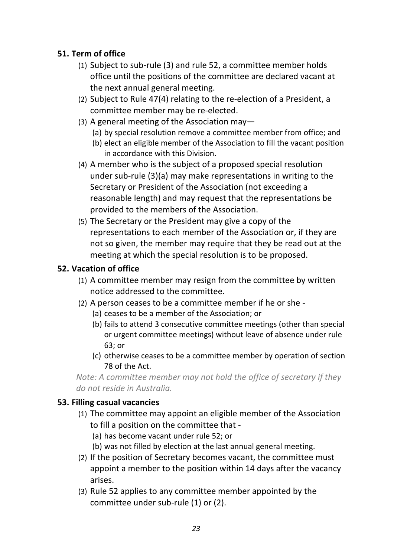# **51. Term of office**

- (1) Subject to sub-rule (3) and rule 52, a committee member holds office until the positions of the committee are declared vacant at the next annual general meeting.
- (2) Subject to Rule 47(4) relating to the re-election of a President, a committee member may be re-elected.
- (3) A general meeting of the Association may-
	- (a) by special resolution remove a committee member from office; and
	- (b) elect an eligible member of the Association to fill the vacant position in accordance with this Division.
- (4) A member who is the subject of a proposed special resolution under sub-rule  $(3)(a)$  may make representations in writing to the Secretary or President of the Association (not exceeding a reasonable length) and may request that the representations be provided to the members of the Association.
- (5) The Secretary or the President may give a copy of the representations to each member of the Association or, if they are not so given, the member may require that they be read out at the meeting at which the special resolution is to be proposed.

### **52. Vacation of office**

- (1) A committee member may resign from the committee by written notice addressed to the committee.
- (2) A person ceases to be a committee member if he or she -
	- (a) ceases to be a member of the Association; or
	- (b) fails to attend 3 consecutive committee meetings (other than special or urgent committee meetings) without leave of absence under rule 63; or
	- (c) otherwise ceases to be a committee member by operation of section 78 of the Act.

*Note:* A committee member may not hold the office of secretary if they *do not reside in Australia.*

### **53. Filling casual vacancies**

- (1) The committee may appoint an eligible member of the Association to fill a position on the committee that -
	- (a) has become vacant under rule 52; or
	- (b) was not filled by election at the last annual general meeting.
- (2) If the position of Secretary becomes vacant, the committee must appoint a member to the position within 14 days after the vacancy arises.
- (3) Rule 52 applies to any committee member appointed by the committee under sub-rule (1) or (2).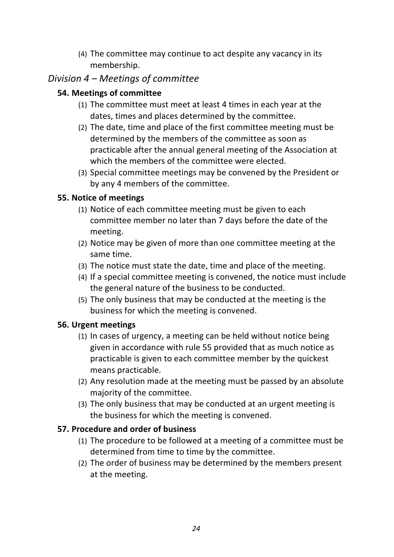(4) The committee may continue to act despite any vacancy in its membership.

# *Division 4 – Meetings of committee*

### **54. Meetings of committee**

- (1) The committee must meet at least 4 times in each year at the dates, times and places determined by the committee.
- (2) The date, time and place of the first committee meeting must be determined by the members of the committee as soon as practicable after the annual general meeting of the Association at which the members of the committee were elected.
- (3) Special committee meetings may be convened by the President or by any 4 members of the committee.

### **55. Notice of meetings**

- (1) Notice of each committee meeting must be given to each committee member no later than 7 days before the date of the meeting.
- (2) Notice may be given of more than one committee meeting at the same time.
- (3) The notice must state the date, time and place of the meeting.
- (4) If a special committee meeting is convened, the notice must include the general nature of the business to be conducted.
- (5) The only business that may be conducted at the meeting is the business for which the meeting is convened.

# **56. Urgent meetings**

- (1) In cases of urgency, a meeting can be held without notice being given in accordance with rule 55 provided that as much notice as practicable is given to each committee member by the quickest means practicable.
- (2) Any resolution made at the meeting must be passed by an absolute majority of the committee.
- (3) The only business that may be conducted at an urgent meeting is the business for which the meeting is convened.

# **57. Procedure and order of business**

- (1) The procedure to be followed at a meeting of a committee must be determined from time to time by the committee.
- (2) The order of business may be determined by the members present at the meeting.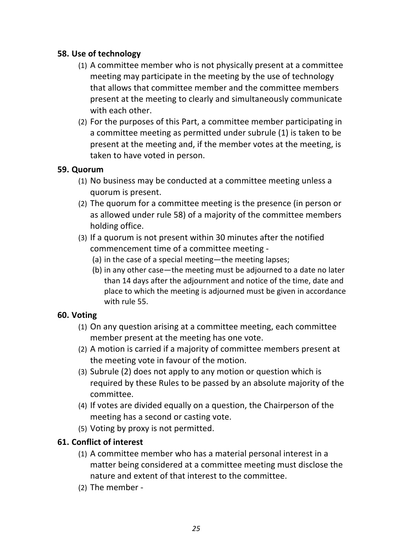### **58. Use of technology**

- (1) A committee member who is not physically present at a committee meeting may participate in the meeting by the use of technology that allows that committee member and the committee members present at the meeting to clearly and simultaneously communicate with each other.
- (2) For the purposes of this Part, a committee member participating in a committee meeting as permitted under subrule (1) is taken to be present at the meeting and, if the member votes at the meeting, is taken to have voted in person.

### **59. Quorum**

- (1) No business may be conducted at a committee meeting unless a quorum is present.
- (2) The quorum for a committee meeting is the presence (in person or as allowed under rule 58) of a majority of the committee members holding office.
- (3) If a quorum is not present within 30 minutes after the notified commencement time of a committee meeting -
	- (a) in the case of a special meeting—the meeting lapses;
	- (b) in any other case—the meeting must be adjourned to a date no later than 14 days after the adjournment and notice of the time, date and place to which the meeting is adjourned must be given in accordance with rule 55.

### **60. Voting**

- (1) On any question arising at a committee meeting, each committee member present at the meeting has one vote.
- (2) A motion is carried if a majority of committee members present at the meeting vote in favour of the motion.
- $(3)$  Subrule  $(2)$  does not apply to any motion or question which is required by these Rules to be passed by an absolute majority of the committee.
- (4) If votes are divided equally on a question, the Chairperson of the meeting has a second or casting vote.
- (5) Voting by proxy is not permitted.

### **61. Conflict of interest**

- (1) A committee member who has a material personal interest in a matter being considered at a committee meeting must disclose the nature and extent of that interest to the committee.
- $(2)$  The member -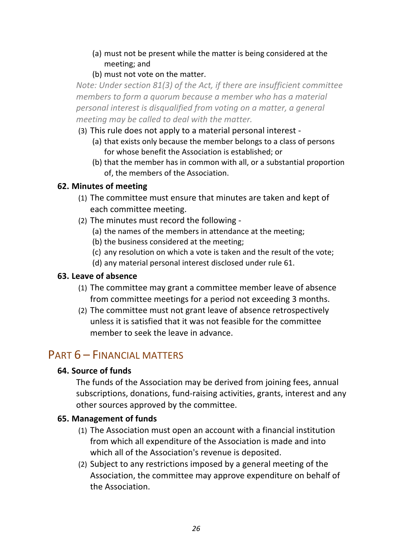- (a) must not be present while the matter is being considered at the meeting; and
- (b) must not vote on the matter.

*Note: Under section 81(3) of the Act, if there are insufficient committee members* to form a quorum because a member who has a material *personal interest is disqualified from voting on a matter, a general meeting may be called to deal with the matter.* 

- (3) This rule does not apply to a material personal interest -
	- (a) that exists only because the member belongs to a class of persons for whose benefit the Association is established; or
	- (b) that the member has in common with all, or a substantial proportion of, the members of the Association.

### **62. Minutes of meeting**

- (1) The committee must ensure that minutes are taken and kept of each committee meeting.
- (2) The minutes must record the following -
	- (a) the names of the members in attendance at the meeting;
	- (b) the business considered at the meeting;
	- (c) any resolution on which a vote is taken and the result of the vote:
	- (d) any material personal interest disclosed under rule 61.

### **63. Leave of absence**

- (1) The committee may grant a committee member leave of absence from committee meetings for a period not exceeding 3 months.
- (2) The committee must not grant leave of absence retrospectively unless it is satisfied that it was not feasible for the committee member to seek the leave in advance.

# PART  $6$  – FINANCIAL MATTERS

### **64. Source of funds**

The funds of the Association may be derived from joining fees, annual subscriptions, donations, fund-raising activities, grants, interest and any other sources approved by the committee.

### **65. Management of funds**

- (1) The Association must open an account with a financial institution from which all expenditure of the Association is made and into which all of the Association's revenue is deposited.
- (2) Subject to any restrictions imposed by a general meeting of the Association, the committee may approve expenditure on behalf of the Association.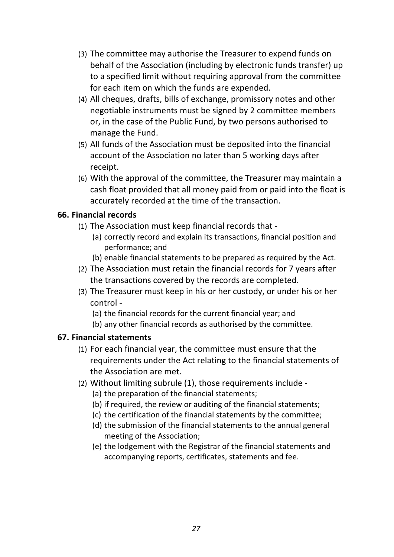- (3) The committee may authorise the Treasurer to expend funds on behalf of the Association (including by electronic funds transfer) up to a specified limit without requiring approval from the committee for each item on which the funds are expended.
- (4) All cheques, drafts, bills of exchange, promissory notes and other negotiable instruments must be signed by 2 committee members or, in the case of the Public Fund, by two persons authorised to manage the Fund.
- (5) All funds of the Association must be deposited into the financial account of the Association no later than 5 working days after receipt.
- (6) With the approval of the committee, the Treasurer may maintain a cash float provided that all money paid from or paid into the float is accurately recorded at the time of the transaction.

### **66. Financial records**

- (1) The Association must keep financial records that -
	- (a) correctly record and explain its transactions, financial position and performance; and
	- (b) enable financial statements to be prepared as required by the Act.
- (2) The Association must retain the financial records for 7 years after the transactions covered by the records are completed.
- (3) The Treasurer must keep in his or her custody, or under his or her control -
	- (a) the financial records for the current financial year; and
	- (b) any other financial records as authorised by the committee.

### **67. Financial statements**

- (1) For each financial year, the committee must ensure that the requirements under the Act relating to the financial statements of the Association are met.
- (2) Without limiting subrule (1), those requirements include -
	- (a) the preparation of the financial statements;
	- (b) if required, the review or auditing of the financial statements;
	- (c) the certification of the financial statements by the committee;
	- (d) the submission of the financial statements to the annual general meeting of the Association;
	- (e) the lodgement with the Registrar of the financial statements and accompanying reports, certificates, statements and fee.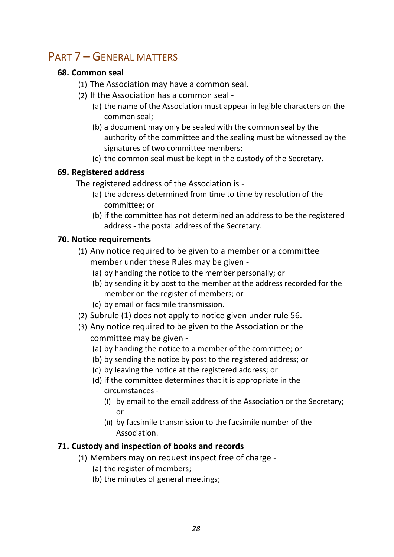# PART 7 – GENERAL MATTERS

### **68. Common seal**

- (1) The Association may have a common seal.
- (2) If the Association has a common seal -
	- (a) the name of the Association must appear in legible characters on the common seal;
	- (b) a document may only be sealed with the common seal by the authority of the committee and the sealing must be witnessed by the signatures of two committee members;
	- (c) the common seal must be kept in the custody of the Secretary.

### **69. Registered address**

The registered address of the Association is -

- (a) the address determined from time to time by resolution of the committee; or
- (b) if the committee has not determined an address to be the registered address - the postal address of the Secretary.

# **70.** Notice requirements

- (1) Any notice required to be given to a member or a committee member under these Rules may be given -
	- (a) by handing the notice to the member personally; or
	- (b) by sending it by post to the member at the address recorded for the member on the register of members; or
	- (c) by email or facsimile transmission.
- (2) Subrule  $(1)$  does not apply to notice given under rule 56.
- (3) Any notice required to be given to the Association or the committee may be given -
	- (a) by handing the notice to a member of the committee; or
	- (b) by sending the notice by post to the registered address; or
	- (c) by leaving the notice at the registered address; or
	- (d) if the committee determines that it is appropriate in the circumstances -
		- (i) by email to the email address of the Association or the Secretary; or
		- (ii) by facsimile transmission to the facsimile number of the Association.

# **71. Custody and inspection of books and records**

- (1) Members may on request inspect free of charge -
	- (a) the register of members;
	- (b) the minutes of general meetings;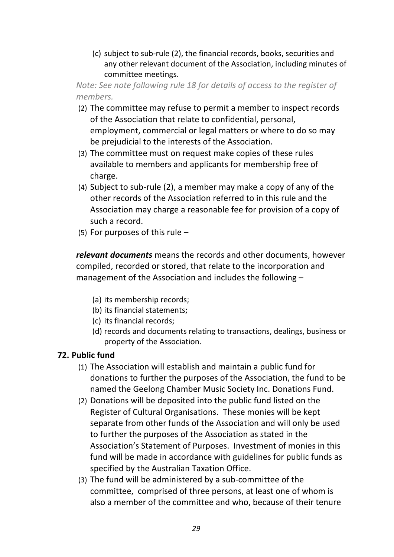(c) subject to sub-rule (2), the financial records, books, securities and any other relevant document of the Association, including minutes of committee meetings.

*Note:* See note following rule 18 for details of access to the register of *members.*

- (2) The committee may refuse to permit a member to inspect records of the Association that relate to confidential, personal, employment, commercial or legal matters or where to do so may be prejudicial to the interests of the Association.
- (3) The committee must on request make copies of these rules available to members and applicants for membership free of charge.
- (4) Subject to sub-rule  $(2)$ , a member may make a copy of any of the other records of the Association referred to in this rule and the Association may charge a reasonable fee for provision of a copy of such a record.
- (5) For purposes of this rule  $-$

relevant documents means the records and other documents, however compiled, recorded or stored, that relate to the incorporation and management of the Association and includes the following  $-$ 

- (a) its membership records;
- (b) its financial statements;
- (c) its financial records;
- (d) records and documents relating to transactions, dealings, business or property of the Association.

# **72. Public fund**

- (1) The Association will establish and maintain a public fund for donations to further the purposes of the Association, the fund to be named the Geelong Chamber Music Society Inc. Donations Fund.
- (2) Donations will be deposited into the public fund listed on the Register of Cultural Organisations. These monies will be kept separate from other funds of the Association and will only be used to further the purposes of the Association as stated in the Association's Statement of Purposes. Investment of monies in this fund will be made in accordance with guidelines for public funds as specified by the Australian Taxation Office.
- (3) The fund will be administered by a sub-committee of the committee, comprised of three persons, at least one of whom is also a member of the committee and who, because of their tenure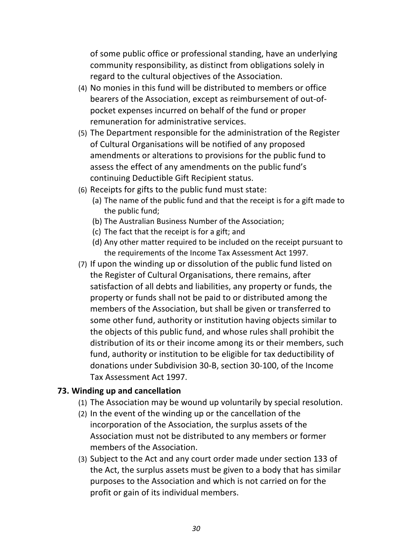of some public office or professional standing, have an underlying community responsibility, as distinct from obligations solely in regard to the cultural objectives of the Association.

- (4) No monies in this fund will be distributed to members or office bearers of the Association, except as reimbursement of out-ofpocket expenses incurred on behalf of the fund or proper remuneration for administrative services.
- (5) The Department responsible for the administration of the Register of Cultural Organisations will be notified of any proposed amendments or alterations to provisions for the public fund to assess the effect of any amendments on the public fund's continuing Deductible Gift Recipient status.
- (6) Receipts for gifts to the public fund must state:
	- (a) The name of the public fund and that the receipt is for a gift made to the public fund;
	- (b) The Australian Business Number of the Association;
	- (c) The fact that the receipt is for a gift; and
	- (d) Any other matter required to be included on the receipt pursuant to the requirements of the Income Tax Assessment Act 1997.
- (7) If upon the winding up or dissolution of the public fund listed on the Register of Cultural Organisations, there remains, after satisfaction of all debts and liabilities, any property or funds, the property or funds shall not be paid to or distributed among the members of the Association, but shall be given or transferred to some other fund, authority or institution having objects similar to the objects of this public fund, and whose rules shall prohibit the distribution of its or their income among its or their members, such fund, authority or institution to be eligible for tax deductibility of donations under Subdivision 30-B, section 30-100, of the Income Tax Assessment Act 1997.

### **73. Winding up and cancellation**

- (1) The Association may be wound up voluntarily by special resolution.
- $(2)$  In the event of the winding up or the cancellation of the incorporation of the Association, the surplus assets of the Association must not be distributed to any members or former members of the Association.
- (3) Subject to the Act and any court order made under section 133 of the Act, the surplus assets must be given to a body that has similar purposes to the Association and which is not carried on for the profit or gain of its individual members.